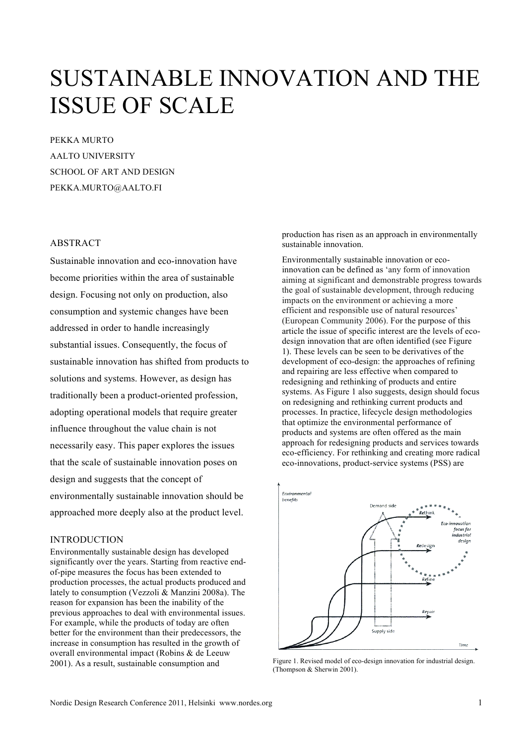# SUSTAINABLE INNOVATION AND THE ISSUE OF SCALE

PEKKA MURTO AALTO UNIVERSITY SCHOOL OF ART AND DESIGN PEKKA.MURTO@AALTO.FI

# ABSTRACT

Sustainable innovation and eco-innovation have become priorities within the area of sustainable design. Focusing not only on production, also consumption and systemic changes have been addressed in order to handle increasingly substantial issues. Consequently, the focus of sustainable innovation has shifted from products to solutions and systems. However, as design has traditionally been a product-oriented profession, adopting operational models that require greater influence throughout the value chain is not necessarily easy. This paper explores the issues that the scale of sustainable innovation poses on design and suggests that the concept of environmentally sustainable innovation should be approached more deeply also at the product level.

# **INTRODUCTION**

Environmentally sustainable design has developed significantly over the years. Starting from reactive endof-pipe measures the focus has been extended to production processes, the actual products produced and lately to consumption (Vezzoli & Manzini 2008a). The reason for expansion has been the inability of the previous approaches to deal with environmental issues. For example, while the products of today are often better for the environment than their predecessors, the increase in consumption has resulted in the growth of overall environmental impact (Robins & de Leeuw 2001). As a result, sustainable consumption and

production has risen as an approach in environmentally sustainable innovation.

Environmentally sustainable innovation or ecoinnovation can be defined as 'any form of innovation aiming at significant and demonstrable progress towards the goal of sustainable development, through reducing impacts on the environment or achieving a more efficient and responsible use of natural resources' (European Community 2006). For the purpose of this article the issue of specific interest are the levels of ecodesign innovation that are often identified (see Figure 1). These levels can be seen to be derivatives of the development of eco-design: the approaches of refining and repairing are less effective when compared to redesigning and rethinking of products and entire systems. As Figure 1 also suggests, design should focus on redesigning and rethinking current products and processes. In practice, lifecycle design methodologies that optimize the environmental performance of products and systems are often offered as the main approach for redesigning products and services towards eco-efficiency. For rethinking and creating more radical eco-innovations, product-service systems (PSS) are



Figure 1. Revised model of eco-design innovation for industrial design. (Thompson & Sherwin 2001).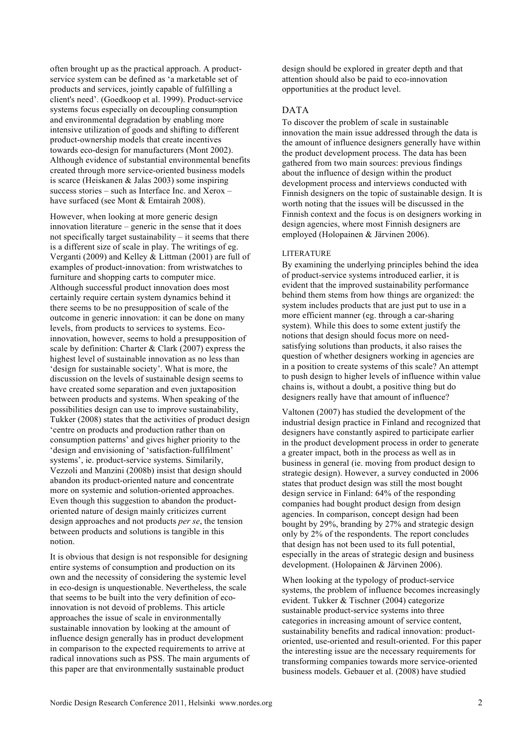often brought up as the practical approach. A productservice system can be defined as 'a marketable set of products and services, jointly capable of fulfilling a client's need'. (Goedkoop et al. 1999). Product-service systems focus especially on decoupling consumption and environmental degradation by enabling more intensive utilization of goods and shifting to different product-ownership models that create incentives towards eco-design for manufacturers (Mont 2002). Although evidence of substantial environmental benefits created through more service-oriented business models is scarce (Heiskanen & Jalas 2003) some inspiring success stories – such as Interface Inc. and Xerox – have surfaced (see Mont & Emtairah 2008).

However, when looking at more generic design innovation literature – generic in the sense that it does not specifically target sustainability  $-$  it seems that there is a different size of scale in play. The writings of eg. Verganti (2009) and Kelley  $\&$  Littman (2001) are full of examples of product-innovation: from wristwatches to furniture and shopping carts to computer mice. Although successful product innovation does most certainly require certain system dynamics behind it there seems to be no presupposition of scale of the outcome in generic innovation: it can be done on many levels, from products to services to systems. Ecoinnovation, however, seems to hold a presupposition of scale by definition: Charter & Clark (2007) express the highest level of sustainable innovation as no less than 'design for sustainable society'. What is more, the discussion on the levels of sustainable design seems to have created some separation and even juxtaposition between products and systems. When speaking of the possibilities design can use to improve sustainability, Tukker (2008) states that the activities of product design 'centre on products and production rather than on consumption patterns' and gives higher priority to the 'design and envisioning of 'satisfaction-fullfilment' systems', ie. product-service systems. Similarily, Vezzoli and Manzini (2008b) insist that design should abandon its product-oriented nature and concentrate more on systemic and solution-oriented approaches. Even though this suggestion to abandon the productoriented nature of design mainly criticizes current design approaches and not products *per se*, the tension between products and solutions is tangible in this notion.

It is obvious that design is not responsible for designing entire systems of consumption and production on its own and the necessity of considering the systemic level in eco-design is unquestionable. Nevertheless, the scale that seems to be built into the very definition of ecoinnovation is not devoid of problems. This article approaches the issue of scale in environmentally sustainable innovation by looking at the amount of influence design generally has in product development in comparison to the expected requirements to arrive at radical innovations such as PSS. The main arguments of this paper are that environmentally sustainable product

design should be explored in greater depth and that attention should also be paid to eco-innovation opportunities at the product level.

# DATA

To discover the problem of scale in sustainable innovation the main issue addressed through the data is the amount of influence designers generally have within the product development process. The data has been gathered from two main sources: previous findings about the influence of design within the product development process and interviews conducted with Finnish designers on the topic of sustainable design. It is worth noting that the issues will be discussed in the Finnish context and the focus is on designers working in design agencies, where most Finnish designers are employed (Holopainen & Järvinen 2006).

#### LITERATURE

By examining the underlying principles behind the idea of product-service systems introduced earlier, it is evident that the improved sustainability performance behind them stems from how things are organized: the system includes products that are just put to use in a more efficient manner (eg. through a car-sharing system). While this does to some extent justify the notions that design should focus more on needsatisfying solutions than products, it also raises the question of whether designers working in agencies are in a position to create systems of this scale? An attempt to push design to higher levels of influence within value chains is, without a doubt, a positive thing but do designers really have that amount of influence?

Valtonen (2007) has studied the development of the industrial design practice in Finland and recognized that designers have constantly aspired to participate earlier in the product development process in order to generate a greater impact, both in the process as well as in business in general (ie. moving from product design to strategic design). However, a survey conducted in 2006 states that product design was still the most bought design service in Finland: 64% of the responding companies had bought product design from design agencies. In comparison, concept design had been bought by 29%, branding by 27% and strategic design only by 2% of the respondents. The report concludes that design has not been used to its full potential, especially in the areas of strategic design and business development. (Holopainen & Järvinen 2006).

When looking at the typology of product-service systems, the problem of influence becomes increasingly evident. Tukker & Tischner (2004) categorize sustainable product-service systems into three categories in increasing amount of service content, sustainability benefits and radical innovation: productoriented, use-oriented and result-oriented. For this paper the interesting issue are the necessary requirements for transforming companies towards more service-oriented business models. Gebauer et al. (2008) have studied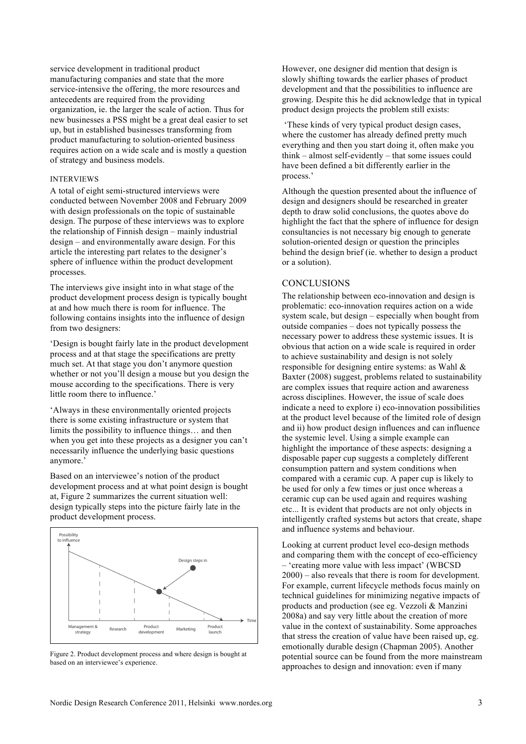service development in traditional product manufacturing companies and state that the more service-intensive the offering, the more resources and antecedents are required from the providing organization, ie. the larger the scale of action. Thus for new businesses a PSS might be a great deal easier to set up, but in established businesses transforming from product manufacturing to solution-oriented business requires action on a wide scale and is mostly a question of strategy and business models.

## INTERVIEWS

A total of eight semi-structured interviews were conducted between November 2008 and February 2009 with design professionals on the topic of sustainable design. The purpose of these interviews was to explore the relationship of Finnish design – mainly industrial design – and environmentally aware design. For this article the interesting part relates to the designer's sphere of influence within the product development processes.

The interviews give insight into in what stage of the product development process design is typically bought at and how much there is room for influence. The following contains insights into the influence of design from two designers:

'Design is bought fairly late in the product development process and at that stage the specifications are pretty much set. At that stage you don't anymore question whether or not you'll design a mouse but you design the mouse according to the specifications. There is very little room there to influence.'

'Always in these environmentally oriented projects there is some existing infrastructure or system that limits the possibility to influence things… and then when you get into these projects as a designer you can't necessarily influence the underlying basic questions anymore.'

Based on an interviewee's notion of the product development process and at what point design is bought at, Figure 2 summarizes the current situation well: design typically steps into the picture fairly late in the product development process.



Figure 2. Product development process and where design is bought at based on an interviewee's experience.

However, one designer did mention that design is slowly shifting towards the earlier phases of product development and that the possibilities to influence are growing. Despite this he did acknowledge that in typical product design projects the problem still exists:

 'These kinds of very typical product design cases, where the customer has already defined pretty much everything and then you start doing it, often make you think – almost self-evidently – that some issues could have been defined a bit differently earlier in the process.'

Although the question presented about the influence of design and designers should be researched in greater depth to draw solid conclusions, the quotes above do highlight the fact that the sphere of influence for design consultancies is not necessary big enough to generate solution-oriented design or question the principles behind the design brief (ie. whether to design a product or a solution).

## **CONCLUSIONS**

The relationship between eco-innovation and design is problematic: eco-innovation requires action on a wide system scale, but design – especially when bought from outside companies – does not typically possess the necessary power to address these systemic issues. It is obvious that action on a wide scale is required in order to achieve sustainability and design is not solely responsible for designing entire systems: as Wahl & Baxter (2008) suggest, problems related to sustainability are complex issues that require action and awareness across disciplines. However, the issue of scale does indicate a need to explore i) eco-innovation possibilities at the product level because of the limited role of design and ii) how product design influences and can influence the systemic level. Using a simple example can highlight the importance of these aspects: designing a disposable paper cup suggests a completely different consumption pattern and system conditions when compared with a ceramic cup. A paper cup is likely to be used for only a few times or just once whereas a ceramic cup can be used again and requires washing etc... It is evident that products are not only objects in intelligently crafted systems but actors that create, shape and influence systems and behaviour.

Looking at current product level eco-design methods and comparing them with the concept of eco-efficiency – 'creating more value with less impact' (WBCSD 2000) – also reveals that there is room for development. For example, current lifecycle methods focus mainly on technical guidelines for minimizing negative impacts of products and production (see eg. Vezzoli & Manzini 2008a) and say very little about the creation of more value in the context of sustainability. Some approaches that stress the creation of value have been raised up, eg. emotionally durable design (Chapman 2005). Another potential source can be found from the more mainstream approaches to design and innovation: even if many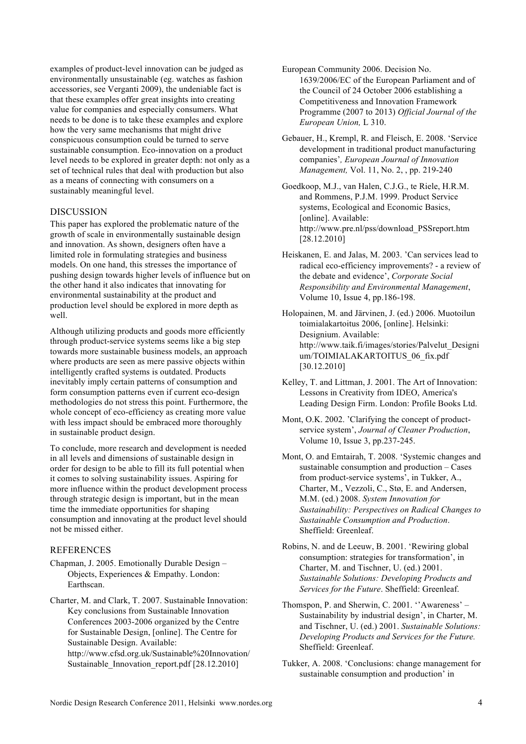examples of product-level innovation can be judged as environmentally unsustainable (eg. watches as fashion accessories, see Verganti 2009), the undeniable fact is that these examples offer great insights into creating value for companies and especially consumers. What needs to be done is to take these examples and explore how the very same mechanisms that might drive conspicuous consumption could be turned to serve sustainable consumption. Eco-innovation on a product level needs to be explored in greater depth: not only as a set of technical rules that deal with production but also as a means of connecting with consumers on a sustainably meaningful level.

## DISCUSSION

This paper has explored the problematic nature of the growth of scale in environmentally sustainable design and innovation. As shown, designers often have a limited role in formulating strategies and business models. On one hand, this stresses the importance of pushing design towards higher levels of influence but on the other hand it also indicates that innovating for environmental sustainability at the product and production level should be explored in more depth as well.

Although utilizing products and goods more efficiently through product-service systems seems like a big step towards more sustainable business models, an approach where products are seen as mere passive objects within intelligently crafted systems is outdated. Products inevitably imply certain patterns of consumption and form consumption patterns even if current eco-design methodologies do not stress this point. Furthermore, the whole concept of eco-efficiency as creating more value with less impact should be embraced more thoroughly in sustainable product design.

To conclude, more research and development is needed in all levels and dimensions of sustainable design in order for design to be able to fill its full potential when it comes to solving sustainability issues. Aspiring for more influence within the product development process through strategic design is important, but in the mean time the immediate opportunities for shaping consumption and innovating at the product level should not be missed either.

## REFERENCES

- Chapman, J. 2005. Emotionally Durable Design Objects, Experiences & Empathy. London: Earthscan.
- Charter, M. and Clark, T. 2007. Sustainable Innovation: Key conclusions from Sustainable Innovation Conferences 2003-2006 organized by the Centre for Sustainable Design, [online]. The Centre for Sustainable Design. Available: http://www.cfsd.org.uk/Sustainable%20Innovation/ Sustainable Innovation report.pdf [28.12.2010]
- European Community 2006. Decision No. 1639/2006/EC of the European Parliament and of the Council of 24 October 2006 establishing a Competitiveness and Innovation Framework Programme (2007 to 2013) *Official Journal of the European Union,* L 310.
- Gebauer, H., Krempl, R. and Fleisch, E. 2008. 'Service development in traditional product manufacturing companies'*, European Journal of Innovation Management,* Vol. 11, No. 2, , pp. 219-240
- Goedkoop, M.J., van Halen, C.J.G., te Riele, H.R.M. and Rommens, P.J.M. 1999. Product Service systems, Ecological and Economic Basics, [online]. Available: http://www.pre.nl/pss/download\_PSSreport.htm [28.12.2010]
- Heiskanen, E. and Jalas, M. 2003. 'Can services lead to radical eco-efficiency improvements? - a review of the debate and evidence', *Corporate Social Responsibility and Environmental Management*, Volume 10, Issue 4, pp.186-198.
- Holopainen, M. and Järvinen, J. (ed.) 2006. Muotoilun toimialakartoitus 2006, [online]. Helsinki: Designium. Available: http://www.taik.fi/images/stories/Palvelut\_Designi um/TOIMIALAKARTOITUS\_06\_fix.pdf [30.12.2010]
- Kelley, T. and Littman, J. 2001. The Art of Innovation: Lessons in Creativity from IDEO, America's Leading Design Firm. London: Profile Books Ltd.
- Mont, O.K. 2002. 'Clarifying the concept of productservice system', *Journal of Cleaner Production*, Volume 10, Issue 3, pp.237-245.
- Mont, O. and Emtairah, T. 2008. 'Systemic changes and sustainable consumption and production – Cases from product-service systems', in Tukker, A., Charter, M., Vezzoli, C., Stø, E. and Andersen, M.M. (ed.) 2008. *System Innovation for Sustainability: Perspectives on Radical Changes to Sustainable Consumption and Production*. Sheffield: Greenleaf.
- Robins, N. and de Leeuw, B. 2001. 'Rewiring global consumption: strategies for transformation', in Charter, M. and Tischner, U. (ed.) 2001. *Sustainable Solutions: Developing Products and Services for the Future*. Sheffield: Greenleaf.
- Thomspon, P. and Sherwin, C. 2001. ''Awareness' Sustainability by industrial design', in Charter, M. and Tischner, U. (ed.) 2001. *Sustainable Solutions: Developing Products and Services for the Future.* Sheffield: Greenleaf.
- Tukker, A. 2008. 'Conclusions: change management for sustainable consumption and production' in